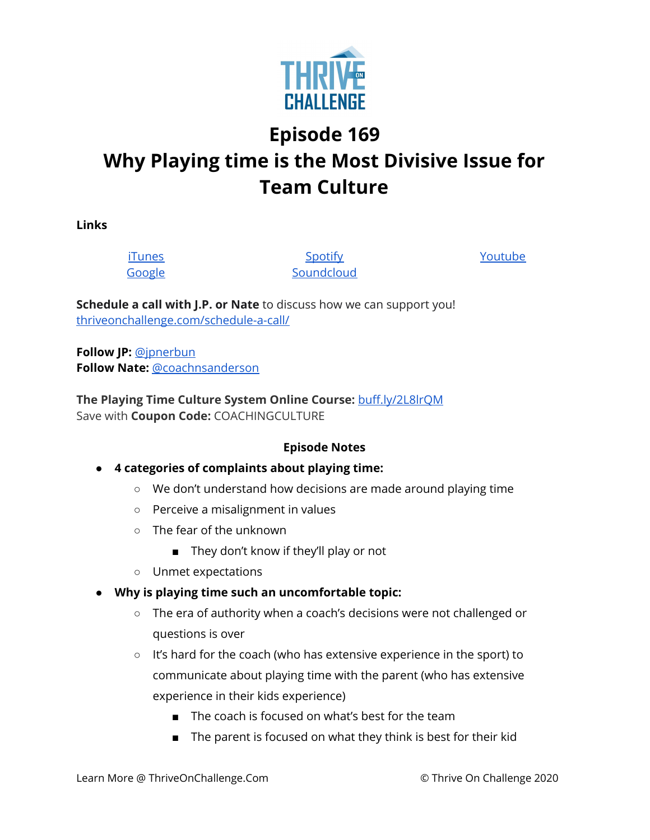

# **Episode 169 Why Playing time is the Most Divisive Issue for Team Culture**

**Links**

[iTunes](https://podcasts.apple.com/us/podcast/coaching-culture/id1286560192) [Google](https://podcasts.google.com/feed/aHR0cHM6Ly9mZWVkcy5zb3VuZGNsb3VkLmNvbS91c2Vycy9zb3VuZGNsb3VkOnVzZXJzOjQxMDQyNzcvc291bmRzLnJzcw?ved=2ahUKEwiSpYquy9vqAhVbQUEAHSAkC88Q4aUDegQIARAC)

**[Spotify](https://open.spotify.com/show/336Hs8udk8s0yXuK3BzSOq) [Soundcloud](https://soundcloud.com/thriveonchallenge)**  [Youtube](https://www.youtube.com/channel/UC3vIljCBzwHcPyVIx9kiHvw)

**Schedule a call with J.P. or Nate** to discuss how we can support you! [thriveonchallenge.com/schedule-a-call/](http://thriveonchallenge.com/schedule-a-call/)

**Follow JP:** [@jpnerbun](http://twitter.com/jpnerbun) **Follow Nate:** [@coachnsanderson](http://twitter.com/coachnsanderson)

**The Playing Time Culture System Online Course:** [buff.ly/2L8lrQM](https://gate.sc/?url=http%3A%2F%2Fbuff.ly%2F2L8lrQM&token=32ca9-1-1607437698203) Save with **Coupon Code:** COACHINGCULTURE

## **Episode Notes**

## **● 4 categories of complaints about playing time:**

- We don't understand how decisions are made around playing time
- Perceive a misalignment in values
- $\circ$  The fear of the unknown
	- They don't know if they'll play or not
- Unmet expectations
- **● Why is playing time such an uncomfortable topic:**
	- The era of authority when a coach's decisions were not challenged or questions is over
	- It's hard for the coach (who has extensive experience in the sport) to communicate about playing time with the parent (who has extensive experience in their kids experience)
		- The coach is focused on what's best for the team
		- The parent is focused on what they think is best for their kid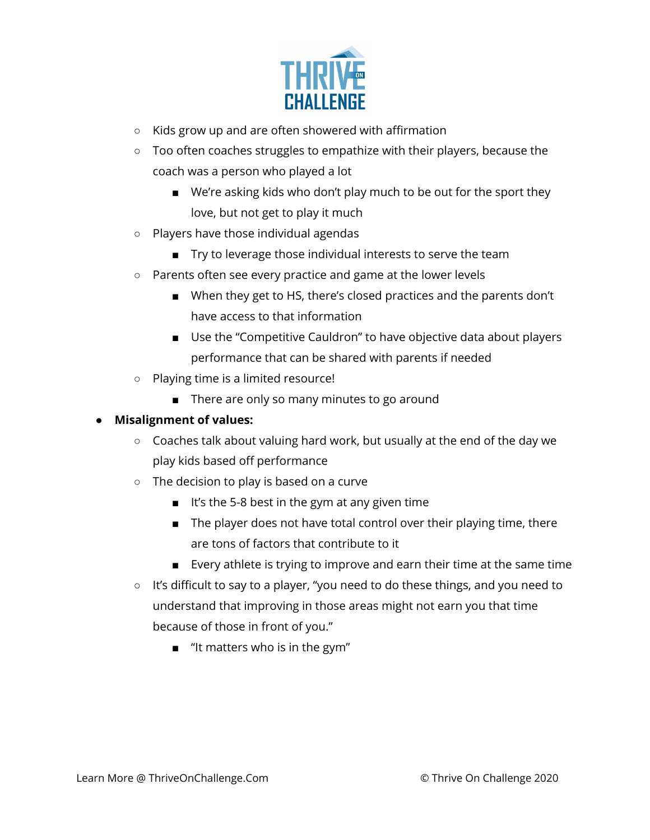

- Kids grow up and are often showered with affirmation
- Too often coaches struggles to empathize with their players, because the coach was a person who played a lot
	- We're asking kids who don't play much to be out for the sport they love, but not get to play it much
- Players have those individual agendas
	- Try to leverage those individual interests to serve the team
- Parents often see every practice and game at the lower levels
	- When they get to HS, there's closed practices and the parents don't have access to that information
	- Use the "Competitive Cauldron" to have objective data about players performance that can be shared with parents if needed
- Playing time is a limited resource!
	- There are only so many minutes to go around

#### **● Misalignment of values:**

- Coaches talk about valuing hard work, but usually at the end of the day we play kids based off performance
- The decision to play is based on a curve
	- It's the 5-8 best in the gym at any given time
	- The player does not have total control over their playing time, there are tons of factors that contribute to it
	- Every athlete is trying to improve and earn their time at the same time
- It's difficult to say to a player, "you need to do these things, and you need to understand that improving in those areas might not earn you that time because of those in front of you."
	- "It matters who is in the gym"